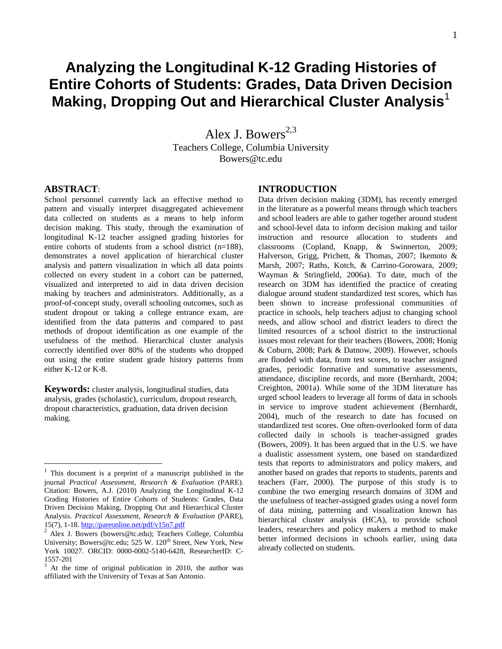# **Analyzing the Longitudinal K-12 Grading Histories of Entire Cohorts of Students: Grades, Data Driven Decision Making, Dropping Out and Hierarchical Cluster Analysis**<sup>1</sup>

Alex J. Bowers<sup>2,3</sup> Teachers College, Columbia University Bowers@tc.edu

# **ABSTRACT**:

 $\overline{a}$ 

School personnel currently lack an effective method to pattern and visually interpret disaggregated achievement data collected on students as a means to help inform decision making. This study, through the examination of longitudinal K-12 teacher assigned grading histories for entire cohorts of students from a school district (n=188), demonstrates a novel application of hierarchical cluster analysis and pattern visualization in which all data points collected on every student in a cohort can be patterned, visualized and interpreted to aid in data driven decision making by teachers and administrators. Additionally, as a proof-of-concept study, overall schooling outcomes, such as student dropout or taking a college entrance exam, are identified from the data patterns and compared to past methods of dropout identification as one example of the usefulness of the method. Hierarchical cluster analysis correctly identified over 80% of the students who dropped out using the entire student grade history patterns from either K-12 or K-8.

**Keywords:** cluster analysis, longitudinal studies, data analysis, grades (scholastic), curriculum, dropout research, dropout characteristics, graduation, data driven decision making.

# **INTRODUCTION**

Data driven decision making (3DM), has recently emerged in the literature as a powerful means through which teachers and school leaders are able to gather together around student and school-level data to inform decision making and tailor instruction and resource allocation to students and classrooms (Copland, Knapp, & Swinnerton, 2009; Halverson, Grigg, Prichett, & Thomas, 2007; Ikemoto & Marsh, 2007; Raths, Kotch, & Carrino-Gorowara, 2009; Wayman & Stringfield, 2006a). To date, much of the research on 3DM has identified the practice of creating dialogue around student standardized test scores, which has been shown to increase professional communities of practice in schools, help teachers adjust to changing school needs, and allow school and district leaders to direct the limited resources of a school district to the instructional issues most relevant for their teachers (Bowers, 2008; Honig & Coburn, 2008; Park & Datnow, 2009). However, schools are flooded with data, from test scores, to teacher assigned grades, periodic formative and summative assessments, attendance, discipline records, and more (Bernhardt, 2004; Creighton, 2001a). While some of the 3DM literature has urged school leaders to leverage all forms of data in schools in service to improve student achievement (Bernhardt, 2004), much of the research to date has focused on standardized test scores. One often-overlooked form of data collected daily in schools is teacher-assigned grades (Bowers, 2009). It has been argued that in the U.S. we have a dualistic assessment system, one based on standardized tests that reports to administrators and policy makers, and another based on grades that reports to students, parents and teachers (Farr, 2000). The purpose of this study is to combine the two emerging research domains of 3DM and the usefulness of teacher-assigned grades using a novel form of data mining, patterning and visualization known has hierarchical cluster analysis (HCA), to provide school leaders, researchers and policy makers a method to make better informed decisions in schools earlier, using data already collected on students.

<sup>1</sup> This document is a preprint of a manuscript published in the journal *Practical Assessment, Research & Evaluation* (PARE). Citation: Bowers, A.J. (2010) Analyzing the Longitudinal K-12 Grading Histories of Entire Cohorts of Students: Grades, Data Driven Decision Making, Dropping Out and Hierarchical Cluster Analysis. *Practical Assessment, Research & Evaluation* (PARE), 15(7), 1-18.<http://pareonline.net/pdf/v15n7.pdf><br> $\frac{2 \text{ day L B}}{2 \text{ days L B}}$ 

<sup>2</sup> Alex J. Bowers (bowers@tc.edu); Teachers College, Columbia University; Bowers@tc.edu; 525 W. 120<sup>th</sup> Street, New York, New York 10027. ORCID: 0000-0002-5140-6428, ResearcherID: C-1557-201

At the time of original publication in 2010, the author was affiliated with the University of Texas at San Antonio.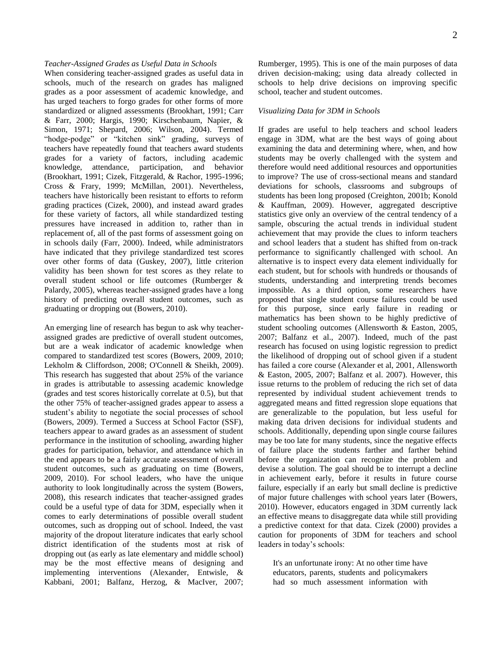#### *Teacher-Assigned Grades as Useful Data in Schools*

When considering teacher-assigned grades as useful data in schools, much of the research on grades has maligned grades as a poor assessment of academic knowledge, and has urged teachers to forgo grades for other forms of more standardized or aligned assessments (Brookhart, 1991; Carr & Farr, 2000; Hargis, 1990; Kirschenbaum, Napier, & Simon, 1971; Shepard, 2006; Wilson, 2004). Termed "hodge-podge" or "kitchen sink" grading, surveys of teachers have repeatedly found that teachers award students grades for a variety of factors, including academic knowledge, attendance, participation, and behavior (Brookhart, 1991; Cizek, Fitzgerald, & Rachor, 1995-1996; Cross & Frary, 1999; McMillan, 2001). Nevertheless, teachers have historically been resistant to efforts to reform grading practices (Cizek, 2000), and instead award grades for these variety of factors, all while standardized testing pressures have increased in addition to, rather than in replacement of, all of the past forms of assessment going on in schools daily (Farr, 2000). Indeed, while administrators have indicated that they privilege standardized test scores over other forms of data (Guskey, 2007), little criterion validity has been shown for test scores as they relate to overall student school or life outcomes (Rumberger & Palardy, 2005), whereas teacher-assigned grades have a long history of predicting overall student outcomes, such as graduating or dropping out (Bowers, 2010).

An emerging line of research has begun to ask why teacherassigned grades are predictive of overall student outcomes, but are a weak indicator of academic knowledge when compared to standardized test scores (Bowers, 2009, 2010; Lekholm & Cliffordson, 2008; O'Connell & Sheikh, 2009). This research has suggested that about 25% of the variance in grades is attributable to assessing academic knowledge (grades and test scores historically correlate at 0.5), but that the other 75% of teacher-assigned grades appear to assess a student's ability to negotiate the social processes of school (Bowers, 2009). Termed a Success at School Factor (SSF), teachers appear to award grades as an assessment of student performance in the institution of schooling, awarding higher grades for participation, behavior, and attendance which in the end appears to be a fairly accurate assessment of overall student outcomes, such as graduating on time (Bowers, 2009, 2010). For school leaders, who have the unique authority to look longitudinally across the system (Bowers, 2008), this research indicates that teacher-assigned grades could be a useful type of data for 3DM, especially when it comes to early determinations of possible overall student outcomes, such as dropping out of school. Indeed, the vast majority of the dropout literature indicates that early school district identification of the students most at risk of dropping out (as early as late elementary and middle school) may be the most effective means of designing and implementing interventions (Alexander, Entwisle, & Kabbani, 2001; Balfanz, Herzog, & MacIver, 2007; 2

Rumberger, 1995). This is one of the main purposes of data driven decision-making; using data already collected in schools to help drive decisions on improving specific school, teacher and student outcomes.

#### *Visualizing Data for 3DM in Schools*

If grades are useful to help teachers and school leaders engage in 3DM, what are the best ways of going about examining the data and determining where, when, and how students may be overly challenged with the system and therefore would need additional resources and opportunities to improve? The use of cross-sectional means and standard deviations for schools, classrooms and subgroups of students has been long proposed (Creighton, 2001b; Konold & Kauffman, 2009). However, aggregated descriptive statistics give only an overview of the central tendency of a sample, obscuring the actual trends in individual student achievement that may provide the clues to inform teachers and school leaders that a student has shifted from on-track performance to significantly challenged with school. An alternative is to inspect every data element individually for each student, but for schools with hundreds or thousands of students, understanding and interpreting trends becomes impossible. As a third option, some researchers have proposed that single student course failures could be used for this purpose, since early failure in reading or mathematics has been shown to be highly predictive of student schooling outcomes (Allensworth & Easton, 2005, 2007; Balfanz et al., 2007). Indeed, much of the past research has focused on using logistic regression to predict the likelihood of dropping out of school given if a student has failed a core course (Alexander et al, 2001, Allensworth & Easton, 2005, 2007; Balfanz et al. 2007). However, this issue returns to the problem of reducing the rich set of data represented by individual student achievement trends to aggregated means and fitted regression slope equations that are generalizable to the population, but less useful for making data driven decisions for individual students and schools. Additionally, depending upon single course failures may be too late for many students, since the negative effects of failure place the students farther and farther behind before the organization can recognize the problem and devise a solution. The goal should be to interrupt a decline in achievement early, before it results in future course failure, especially if an early but small decline is predictive of major future challenges with school years later (Bowers, 2010). However, educators engaged in 3DM currently lack an effective means to disaggregate data while still providing a predictive context for that data. Cizek (2000) provides a caution for proponents of 3DM for teachers and school leaders in today's schools:

It's an unfortunate irony: At no other time have educators, parents, students and policymakers had so much assessment information with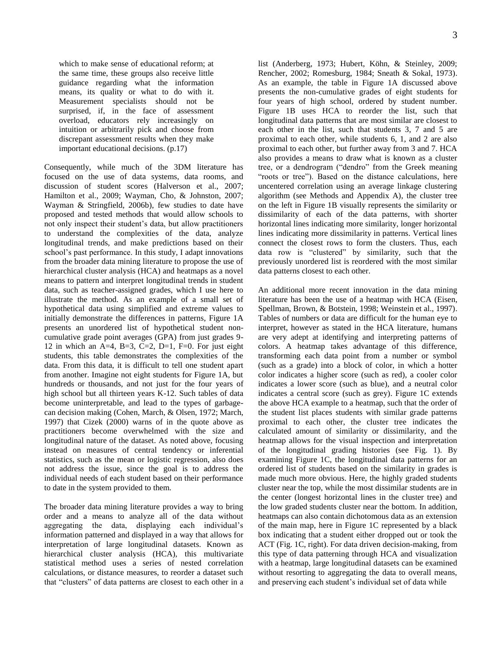which to make sense of educational reform; at the same time, these groups also receive little guidance regarding what the information means, its quality or what to do with it. Measurement specialists should not be surprised, if, in the face of assessment overload, educators rely increasingly on intuition or arbitrarily pick and choose from discrepant assessment results when they make important educational decisions. (p.17)

Consequently, while much of the 3DM literature has focused on the use of data systems, data rooms, and discussion of student scores (Halverson et al., 2007; Hamilton et al., 2009; Wayman, Cho, & Johnston, 2007; Wayman & Stringfield, 2006b), few studies to date have proposed and tested methods that would allow schools to not only inspect their student's data, but allow practitioners to understand the complexities of the data, analyze longitudinal trends, and make predictions based on their school's past performance. In this study, I adapt innovations from the broader data mining literature to propose the use of hierarchical cluster analysis (HCA) and heatmaps as a novel means to pattern and interpret longitudinal trends in student data, such as teacher-assigned grades, which I use here to illustrate the method. As an example of a small set of hypothetical data using simplified and extreme values to initially demonstrate the differences in patterns, Figure 1A presents an unordered list of hypothetical student noncumulative grade point averages (GPA) from just grades 9- 12 in which an A=4, B=3, C=2, D=1, F=0. For just eight students, this table demonstrates the complexities of the data. From this data, it is difficult to tell one student apart from another. Imagine not eight students for Figure 1A, but hundreds or thousands, and not just for the four years of high school but all thirteen years K-12. Such tables of data become uninterpretable, and lead to the types of garbagecan decision making (Cohen, March, & Olsen, 1972; March, 1997) that Cizek (2000) warns of in the quote above as practitioners become overwhelmed with the size and longitudinal nature of the dataset. As noted above, focusing instead on measures of central tendency or inferential statistics, such as the mean or logistic regression, also does not address the issue, since the goal is to address the individual needs of each student based on their performance to date in the system provided to them.

The broader data mining literature provides a way to bring order and a means to analyze all of the data without aggregating the data, displaying each individual's information patterned and displayed in a way that allows for interpretation of large longitudinal datasets. Known as hierarchical cluster analysis (HCA), this multivariate statistical method uses a series of nested correlation calculations, or distance measures, to reorder a dataset such that "clusters" of data patterns are closest to each other in a list (Anderberg, 1973; Hubert, Köhn, & Steinley, 2009; Rencher, 2002; Romesburg, 1984; Sneath & Sokal, 1973). As an example, the table in Figure 1A discussed above presents the non-cumulative grades of eight students for four years of high school, ordered by student number. Figure 1B uses HCA to reorder the list, such that longitudinal data patterns that are most similar are closest to each other in the list, such that students 3, 7 and 5 are proximal to each other, while students 6, 1, and 2 are also proximal to each other, but further away from 3 and 7. HCA also provides a means to draw what is known as a cluster tree, or a dendrogram ("dendro" from the Greek meaning "roots or tree"). Based on the distance calculations, here uncentered correlation using an average linkage clustering algorithm (see Methods and Appendix A), the cluster tree on the left in Figure 1B visually represents the similarity or dissimilarity of each of the data patterns, with shorter horizontal lines indicating more similarity, longer horizontal lines indicating more dissimilarity in patterns. Vertical lines connect the closest rows to form the clusters. Thus, each data row is "clustered" by similarity, such that the previously unordered list is reordered with the most similar data patterns closest to each other.

An additional more recent innovation in the data mining literature has been the use of a heatmap with HCA (Eisen, Spellman, Brown, & Botstein, 1998; Weinstein et al., 1997). Tables of numbers or data are difficult for the human eye to interpret, however as stated in the HCA literature, humans are very adept at identifying and interpreting patterns of colors. A heatmap takes advantage of this difference, transforming each data point from a number or symbol (such as a grade) into a block of color, in which a hotter color indicates a higher score (such as red), a cooler color indicates a lower score (such as blue), and a neutral color indicates a central score (such as grey). Figure 1C extends the above HCA example to a heatmap, such that the order of the student list places students with similar grade patterns proximal to each other, the cluster tree indicates the calculated amount of similarity or dissimilarity, and the heatmap allows for the visual inspection and interpretation of the longitudinal grading histories (see Fig. 1). By examining Figure 1C, the longitudinal data patterns for an ordered list of students based on the similarity in grades is made much more obvious. Here, the highly graded students cluster near the top, while the most dissimilar students are in the center (longest horizontal lines in the cluster tree) and the low graded students cluster near the bottom. In addition, heatmaps can also contain dichotomous data as an extension of the main map, here in Figure 1C represented by a black box indicating that a student either dropped out or took the ACT (Fig. 1C, right). For data driven decision-making, from this type of data patterning through HCA and visualization with a heatmap, large longitudinal datasets can be examined without resorting to aggregating the data to overall means, and preserving each student's individual set of data while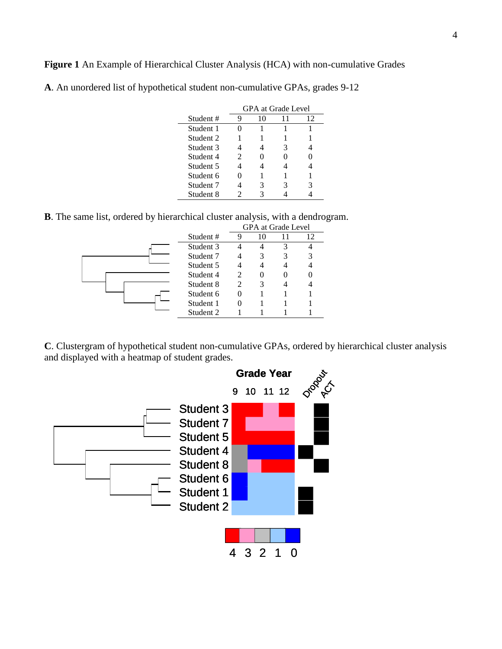**Figure 1** An Example of Hierarchical Cluster Analysis (HCA) with non-cumulative Grades

|           | <b>GPA</b> at Grade Level   |    |    |    |  |  |
|-----------|-----------------------------|----|----|----|--|--|
| Student#  |                             | 10 | 11 | 12 |  |  |
| Student 1 |                             |    |    |    |  |  |
| Student 2 |                             |    |    |    |  |  |
| Student 3 |                             |    | 3  |    |  |  |
| Student 4 | $\mathcal{D}_{\mathcal{L}}$ |    |    |    |  |  |
| Student 5 |                             |    |    |    |  |  |
| Student 6 |                             |    |    |    |  |  |
| Student 7 |                             | 3  |    |    |  |  |
| Student 8 |                             |    |    |    |  |  |

**A**. An unordered list of hypothetical student non-cumulative GPAs, grades 9-12

**B**. The same list, ordered by hierarchical cluster analysis, with a dendrogram.

|  |           | <b>GPA</b> at Grade Level   |    |  |    |  |
|--|-----------|-----------------------------|----|--|----|--|
|  | Student#  |                             | 10 |  | 12 |  |
|  | Student 3 |                             |    |  |    |  |
|  | Student 7 |                             | 3  |  | 3  |  |
|  | Student 5 |                             |    |  |    |  |
|  | Student 4 | $\mathcal{D}_{\mathcal{A}}$ |    |  |    |  |
|  | Student 8 | $\mathcal{D}_{\mathcal{A}}$ | 3  |  |    |  |
|  | Student 6 |                             |    |  |    |  |
|  | Student 1 |                             |    |  |    |  |
|  | Student 2 |                             |    |  |    |  |

**C**. Clustergram of hypothetical student non-cumulative GPAs, ordered by hierarchical cluster analysis and displayed with a heatmap of student grades.

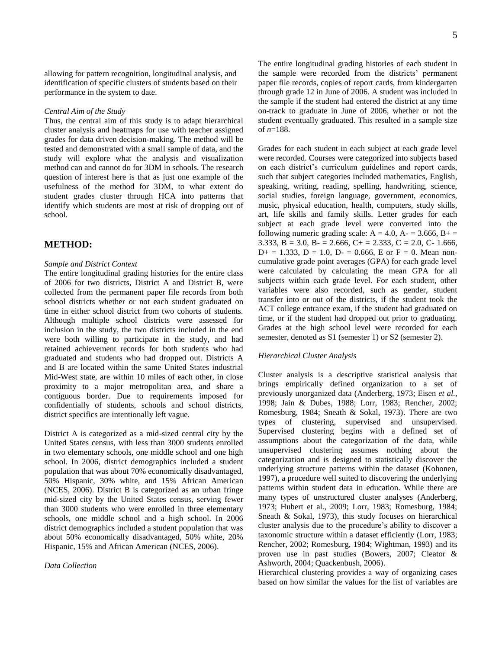allowing for pattern recognition, longitudinal analysis, and identification of specific clusters of students based on their performance in the system to date.

#### *Central Aim of the Study*

Thus, the central aim of this study is to adapt hierarchical cluster analysis and heatmaps for use with teacher assigned grades for data driven decision-making. The method will be tested and demonstrated with a small sample of data, and the study will explore what the analysis and visualization method can and cannot do for 3DM in schools. The research question of interest here is that as just one example of the usefulness of the method for 3DM, to what extent do student grades cluster through HCA into patterns that identify which students are most at risk of dropping out of school.

#### **METHOD:**

#### *Sample and District Context*

The entire longitudinal grading histories for the entire class of 2006 for two districts, District A and District B, were collected from the permanent paper file records from both school districts whether or not each student graduated on time in either school district from two cohorts of students. Although multiple school districts were assessed for inclusion in the study, the two districts included in the end were both willing to participate in the study, and had retained achievement records for both students who had graduated and students who had dropped out. Districts A and B are located within the same United States industrial Mid-West state, are within 10 miles of each other, in close proximity to a major metropolitan area, and share a contiguous border. Due to requirements imposed for confidentially of students, schools and school districts, district specifics are intentionally left vague.

District A is categorized as a mid-sized central city by the United States census, with less than 3000 students enrolled in two elementary schools, one middle school and one high school. In 2006, district demographics included a student population that was about 70% economically disadvantaged, 50% Hispanic, 30% white, and 15% African American (NCES, 2006). District B is categorized as an urban fringe mid-sized city by the United States census, serving fewer than 3000 students who were enrolled in three elementary schools, one middle school and a high school. In 2006 district demographics included a student population that was about 50% economically disadvantaged, 50% white, 20% Hispanic, 15% and African American (NCES, 2006).

#### *Data Collection*

5

The entire longitudinal grading histories of each student in the sample were recorded from the districts' permanent paper file records, copies of report cards, from kindergarten through grade 12 in June of 2006. A student was included in the sample if the student had entered the district at any time on-track to graduate in June of 2006, whether or not the student eventually graduated. This resulted in a sample size of *n*=188.

Grades for each student in each subject at each grade level were recorded. Courses were categorized into subjects based on each district's curriculum guidelines and report cards, such that subject categories included mathematics, English, speaking, writing, reading, spelling, handwriting, science, social studies, foreign language, government, economics, music, physical education, health, computers, study skills, art, life skills and family skills. Letter grades for each subject at each grade level were converted into the following numeric grading scale:  $A = 4.0$ ,  $A = 3.666$ ,  $B + \frac{1}{2}$ 3.333, B = 3.0, B - = 2.666, C + = 2.333, C = 2.0, C - 1.666,  $D+ = 1.333$ ,  $D = 1.0$ ,  $D- = 0.666$ , E or F = 0. Mean noncumulative grade point averages (GPA) for each grade level were calculated by calculating the mean GPA for all subjects within each grade level. For each student, other variables were also recorded, such as gender, student transfer into or out of the districts, if the student took the ACT college entrance exam, if the student had graduated on time, or if the student had dropped out prior to graduating. Grades at the high school level were recorded for each semester, denoted as S1 (semester 1) or S2 (semester 2).

#### *Hierarchical Cluster Analysis*

Cluster analysis is a descriptive statistical analysis that brings empirically defined organization to a set of previously unorganized data (Anderberg, 1973; Eisen *et al.*, 1998; Jain & Dubes, 1988; Lorr, 1983; Rencher, 2002; Romesburg, 1984; Sneath & Sokal, 1973). There are two types of clustering, supervised and unsupervised. Supervised clustering begins with a defined set of assumptions about the categorization of the data, while unsupervised clustering assumes nothing about the categorization and is designed to statistically discover the underlying structure patterns within the dataset (Kohonen, 1997), a procedure well suited to discovering the underlying patterns within student data in education. While there are many types of unstructured cluster analyses (Anderberg, 1973; Hubert et al., 2009; Lorr, 1983; Romesburg, 1984; Sneath & Sokal, 1973), this study focuses on hierarchical cluster analysis due to the procedure's ability to discover a taxonomic structure within a dataset efficiently (Lorr, 1983; Rencher, 2002; Romesburg, 1984; Wightman, 1993) and its proven use in past studies (Bowers, 2007; Cleator & Ashworth, 2004; Quackenbush, 2006).

Hierarchical clustering provides a way of organizing cases based on how similar the values for the list of variables are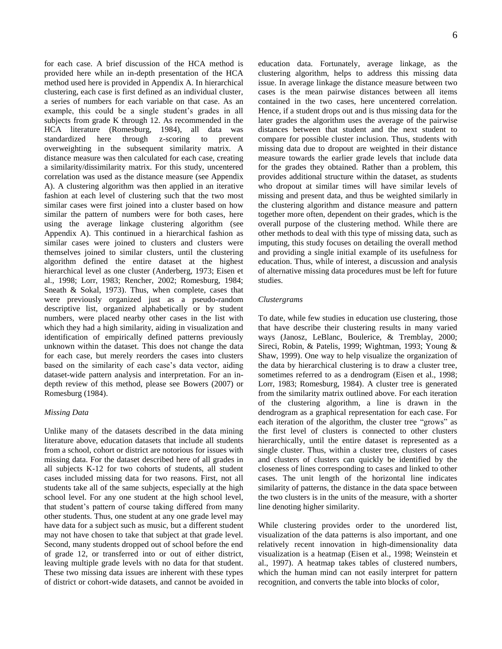for each case. A brief discussion of the HCA method is provided here while an in-depth presentation of the HCA method used here is provided in Appendix A. In hierarchical clustering, each case is first defined as an individual cluster, a series of numbers for each variable on that case. As an example, this could be a single student's grades in all subjects from grade K through 12. As recommended in the HCA literature (Romesburg, 1984), all data was standardized here through z-scoring to prevent overweighting in the subsequent similarity matrix. A distance measure was then calculated for each case, creating a similarity/dissimilarity matrix. For this study, uncentered correlation was used as the distance measure (see Appendix A). A clustering algorithm was then applied in an iterative fashion at each level of clustering such that the two most similar cases were first joined into a cluster based on how similar the pattern of numbers were for both cases, here using the average linkage clustering algorithm (see Appendix A). This continued in a hierarchical fashion as similar cases were joined to clusters and clusters were themselves joined to similar clusters, until the clustering algorithm defined the entire dataset at the highest hierarchical level as one cluster (Anderberg, 1973; Eisen et al., 1998; Lorr, 1983; Rencher, 2002; Romesburg, 1984; Sneath & Sokal, 1973). Thus, when complete, cases that were previously organized just as a pseudo-random descriptive list, organized alphabetically or by student numbers, were placed nearby other cases in the list with which they had a high similarity, aiding in visualization and identification of empirically defined patterns previously unknown within the dataset. This does not change the data for each case, but merely reorders the cases into clusters based on the similarity of each case's data vector, aiding dataset-wide pattern analysis and interpretation. For an indepth review of this method, please see Bowers (2007) or Romesburg (1984).

#### *Missing Data*

Unlike many of the datasets described in the data mining literature above, education datasets that include all students from a school, cohort or district are notorious for issues with missing data. For the dataset described here of all grades in all subjects K-12 for two cohorts of students, all student cases included missing data for two reasons. First, not all students take all of the same subjects, especially at the high school level. For any one student at the high school level, that student's pattern of course taking differed from many other students. Thus, one student at any one grade level may have data for a subject such as music, but a different student may not have chosen to take that subject at that grade level. Second, many students dropped out of school before the end of grade 12, or transferred into or out of either district, leaving multiple grade levels with no data for that student. These two missing data issues are inherent with these types of district or cohort-wide datasets, and cannot be avoided in education data. Fortunately, average linkage, as the clustering algorithm, helps to address this missing data issue. In average linkage the distance measure between two cases is the mean pairwise distances between all items contained in the two cases, here uncentered correlation. Hence, if a student drops out and is thus missing data for the later grades the algorithm uses the average of the pairwise distances between that student and the next student to compare for possible cluster inclusion. Thus, students with missing data due to dropout are weighted in their distance measure towards the earlier grade levels that include data for the grades they obtained. Rather than a problem, this provides additional structure within the dataset, as students who dropout at similar times will have similar levels of missing and present data, and thus be weighted similarly in the clustering algorithm and distance measure and pattern together more often, dependent on their grades, which is the overall purpose of the clustering method. While there are other methods to deal with this type of missing data, such as imputing, this study focuses on detailing the overall method and providing a single initial example of its usefulness for education. Thus, while of interest, a discussion and analysis of alternative missing data procedures must be left for future studies.

#### *Clustergrams*

To date, while few studies in education use clustering, those that have describe their clustering results in many varied ways (Janosz, LeBlanc, Boulerice, & Tremblay, 2000; Sireci, Robin, & Patelis, 1999; Wightman, 1993; Young & Shaw, 1999). One way to help visualize the organization of the data by hierarchical clustering is to draw a cluster tree, sometimes referred to as a dendrogram (Eisen et al., 1998; Lorr, 1983; Romesburg, 1984). A cluster tree is generated from the similarity matrix outlined above. For each iteration of the clustering algorithm, a line is drawn in the dendrogram as a graphical representation for each case. For each iteration of the algorithm, the cluster tree "grows" as the first level of clusters is connected to other clusters hierarchically, until the entire dataset is represented as a single cluster. Thus, within a cluster tree, clusters of cases and clusters of clusters can quickly be identified by the closeness of lines corresponding to cases and linked to other cases. The unit length of the horizontal line indicates similarity of patterns, the distance in the data space between the two clusters is in the units of the measure, with a shorter line denoting higher similarity.

While clustering provides order to the unordered list, visualization of the data patterns is also important, and one relatively recent innovation in high-dimensionality data visualization is a heatmap (Eisen et al., 1998; Weinstein et al., 1997). A heatmap takes tables of clustered numbers, which the human mind can not easily interpret for pattern recognition, and converts the table into blocks of color,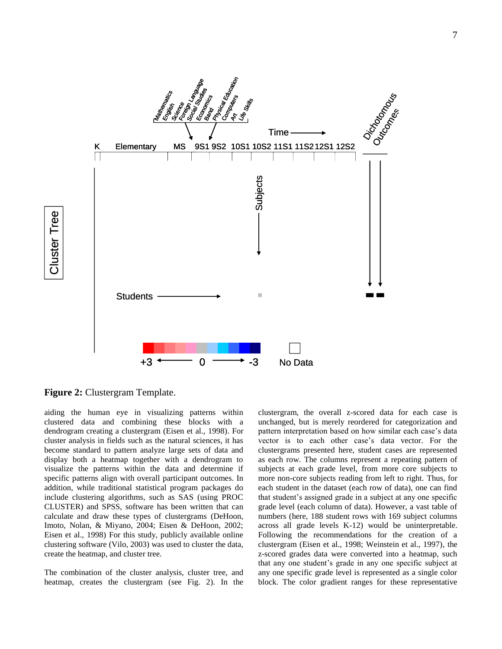

**Figure 2:** Clustergram Template.

aiding the human eye in visualizing patterns within clustered data and combining these blocks with a dendrogram creating a clustergram (Eisen et al., 1998). For cluster analysis in fields such as the natural sciences, it has become standard to pattern analyze large sets of data and display both a heatmap together with a dendrogram to visualize the patterns within the data and determine if specific patterns align with overall participant outcomes. In addition, while traditional statistical program packages do include clustering algorithms, such as SAS (using PROC CLUSTER) and SPSS, software has been written that can calculate and draw these types of clustergrams (DeHoon, Imoto, Nolan, & Miyano, 2004; Eisen & DeHoon, 2002; Eisen et al., 1998) For this study, publicly available online clustering software (Vilo, 2003) was used to cluster the data, create the heatmap, and cluster tree.

The combination of the cluster analysis, cluster tree, and heatmap, creates the clustergram (see Fig. 2). In the clustergram, the overall z-scored data for each case is unchanged, but is merely reordered for categorization and pattern interpretation based on how similar each case's data vector is to each other case's data vector. For the clustergrams presented here, student cases are represented as each row. The columns represent a repeating pattern of subjects at each grade level, from more core subjects to more non-core subjects reading from left to right. Thus, for each student in the dataset (each row of data), one can find that student's assigned grade in a subject at any one specific grade level (each column of data). However, a vast table of numbers (here, 188 student rows with 169 subject columns across all grade levels K-12) would be uninterpretable. Following the recommendations for the creation of a clustergram (Eisen et al., 1998; Weinstein et al., 1997), the z-scored grades data were converted into a heatmap, such that any one student's grade in any one specific subject at any one specific grade level is represented as a single color block. The color gradient ranges for these representative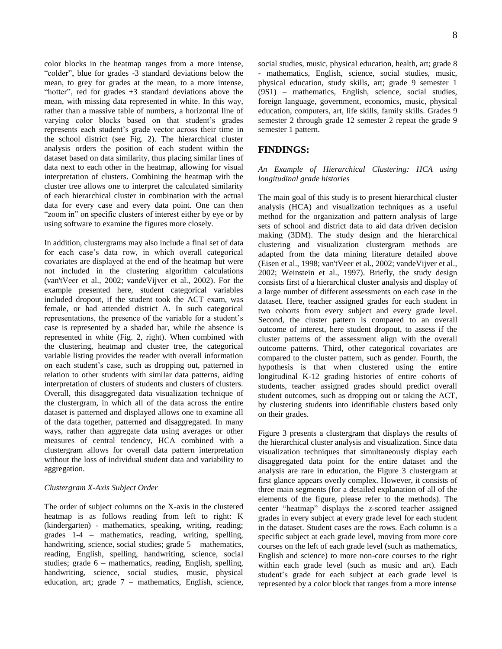color blocks in the heatmap ranges from a more intense, "colder", blue for grades -3 standard deviations below the mean, to grey for grades at the mean, to a more intense, "hotter", red for grades  $+3$  standard deviations above the mean, with missing data represented in white. In this way, rather than a massive table of numbers, a horizontal line of varying color blocks based on that student's grades represents each student's grade vector across their time in the school district (see Fig. 2). The hierarchical cluster analysis orders the position of each student within the dataset based on data similarity, thus placing similar lines of data next to each other in the heatmap, allowing for visual interpretation of clusters. Combining the heatmap with the cluster tree allows one to interpret the calculated similarity of each hierarchical cluster in combination with the actual data for every case and every data point. One can then "zoom in" on specific clusters of interest either by eye or by using software to examine the figures more closely.

In addition, clustergrams may also include a final set of data for each case's data row, in which overall categorical covariates are displayed at the end of the heatmap but were not included in the clustering algorithm calculations (van'tVeer et al., 2002; vandeVijver et al., 2002). For the example presented here, student categorical variables included dropout, if the student took the ACT exam, was female, or had attended district A. In such categorical representations, the presence of the variable for a student's case is represented by a shaded bar, while the absence is represented in white (Fig. 2, right). When combined with the clustering, heatmap and cluster tree, the categorical variable listing provides the reader with overall information on each student's case, such as dropping out, patterned in relation to other students with similar data patterns, aiding interpretation of clusters of students and clusters of clusters. Overall, this disaggregated data visualization technique of the clustergram, in which all of the data across the entire dataset is patterned and displayed allows one to examine all of the data together, patterned and disaggregated. In many ways, rather than aggregate data using averages or other measures of central tendency, HCA combined with a clustergram allows for overall data pattern interpretation without the loss of individual student data and variability to aggregation.

#### *Clustergram X-Axis Subject Order*

The order of subject columns on the X-axis in the clustered heatmap is as follows reading from left to right: K (kindergarten) - mathematics, speaking, writing, reading; grades 1-4 – mathematics, reading, writing, spelling, handwriting, science, social studies; grade  $5$  – mathematics, reading, English, spelling, handwriting, science, social studies; grade 6 – mathematics, reading, English, spelling, handwriting, science, social studies, music, physical education, art; grade 7 – mathematics, English, science, social studies, music, physical education, health, art; grade 8 - mathematics, English, science, social studies, music, physical education, study skills, art; grade 9 semester 1 (9S1) – mathematics, English, science, social studies, foreign language, government, economics, music, physical education, computers, art, life skills, family skills. Grades 9 semester 2 through grade 12 semester 2 repeat the grade 9 semester 1 pattern.

# **FINDINGS:**

*An Example of Hierarchical Clustering: HCA using longitudinal grade histories*

The main goal of this study is to present hierarchical cluster analysis (HCA) and visualization techniques as a useful method for the organization and pattern analysis of large sets of school and district data to aid data driven decision making (3DM). The study design and the hierarchical clustering and visualization clustergram methods are adapted from the data mining literature detailed above (Eisen et al., 1998; van'tVeer et al., 2002; vandeVijver et al., 2002; Weinstein et al., 1997). Briefly, the study design consists first of a hierarchical cluster analysis and display of a large number of different assessments on each case in the dataset. Here, teacher assigned grades for each student in two cohorts from every subject and every grade level. Second, the cluster pattern is compared to an overall outcome of interest, here student dropout, to assess if the cluster patterns of the assessment align with the overall outcome patterns. Third, other categorical covariates are compared to the cluster pattern, such as gender. Fourth, the hypothesis is that when clustered using the entire longitudinal K-12 grading histories of entire cohorts of students, teacher assigned grades should predict overall student outcomes, such as dropping out or taking the ACT, by clustering students into identifiable clusters based only on their grades.

Figure 3 presents a clustergram that displays the results of the hierarchical cluster analysis and visualization. Since data visualization techniques that simultaneously display each disaggregated data point for the entire dataset and the analysis are rare in education, the Figure 3 clustergram at first glance appears overly complex. However, it consists of three main segments (for a detailed explanation of all of the elements of the figure, please refer to the methods). The center "heatmap" displays the z-scored teacher assigned grades in every subject at every grade level for each student in the dataset. Student cases are the rows. Each column is a specific subject at each grade level, moving from more core courses on the left of each grade level (such as mathematics, English and science) to more non-core courses to the right within each grade level (such as music and art). Each student's grade for each subject at each grade level is represented by a color block that ranges from a more intense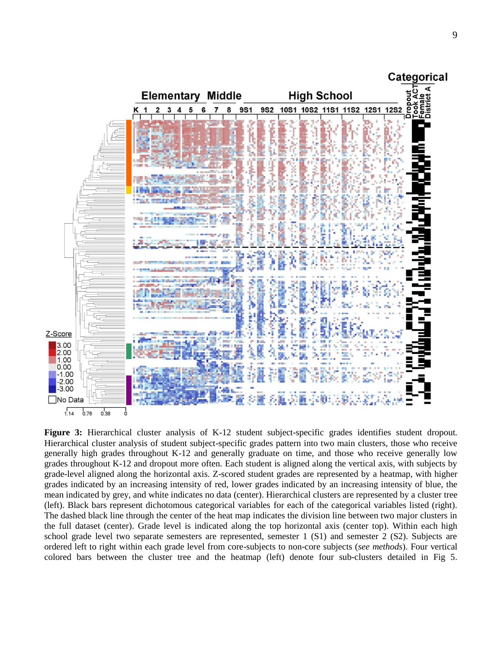

**Figure 3:** Hierarchical cluster analysis of K-12 student subject-specific grades identifies student dropout*.* Hierarchical cluster analysis of student subject-specific grades pattern into two main clusters, those who receive generally high grades throughout K-12 and generally graduate on time, and those who receive generally low grades throughout K-12 and dropout more often. Each student is aligned along the vertical axis, with subjects by grade-level aligned along the horizontal axis. Z-scored student grades are represented by a heatmap, with higher grades indicated by an increasing intensity of red, lower grades indicated by an increasing intensity of blue, the mean indicated by grey, and white indicates no data (center). Hierarchical clusters are represented by a cluster tree (left). Black bars represent dichotomous categorical variables for each of the categorical variables listed (right). The dashed black line through the center of the heat map indicates the division line between two major clusters in the full dataset (center). Grade level is indicated along the top horizontal axis (center top). Within each high school grade level two separate semesters are represented, semester 1 (S1) and semester 2 (S2). Subjects are ordered left to right within each grade level from core-subjects to non-core subjects (*see methods*). Four vertical colored bars between the cluster tree and the heatmap (left) denote four sub-clusters detailed in Fig 5.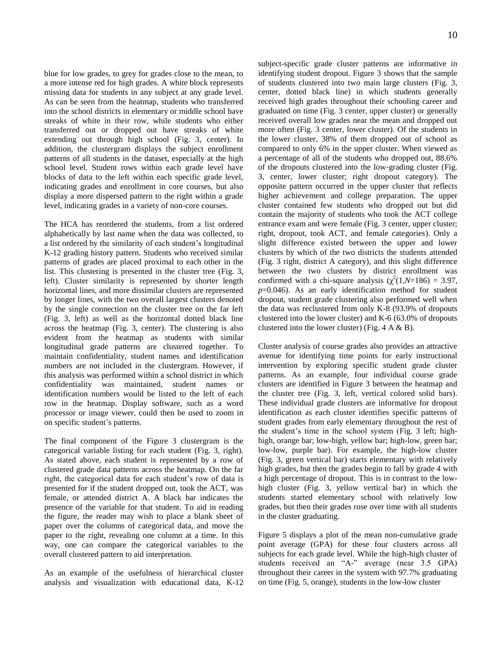blue for low grades, to grey for grades close to the mean, to a more intense red for high grades. A white block represents missing data for students in any subject at any grade level. As can be seen from the heatmap, students who transferred into the school districts in elementary or middle school have streaks of white in their row, while students who either transferred out or dropped out have streaks of white extending out through high school (Fig. 3, center). In addition, the clustergram displays the subject enrollment patterns of all students in the dataset, especially at the high school level. Student rows within each grade level have blocks of data to the left within each specific grade level, indicating grades and enrollment in core courses, but also display a more dispersed pattern to the right within a grade level, indicating grades in a variety of non-core courses.

The HCA has reordered the students, from a list ordered alphabetically by last name when the data was collected, to a list ordered by the similarity of each student's longitudinal K-12 grading history pattern. Students who received similar patterns of grades are placed proximal to each other in the list. This clustering is presented in the cluster tree (Fig. 3, left). Cluster similarity is represented by shorter length horizontal lines, and more dissimilar clusters are represented by longer lines, with the two overall largest clusters denoted by the single connection on the cluster tree on the far left (Fig. 3, left) as well as the horizontal dotted black line across the heatmap (Fig. 3, center). The clustering is also evident from the heatmap as students with similar longitudinal grade patterns are clustered together. To maintain confidentiality, student names and identification numbers are not included in the clustergram. However, if this analysis was performed within a school district in which confidentiality was maintained, student names or identification numbers would be listed to the left of each row in the heatmap. Display software, such as a word processor or image viewer, could then be used to zoom in on specific student's patterns.

The final component of the Figure 3 clustergram is the categorical variable listing for each student (Fig. 3, right). As stated above, each student is represented by a row of clustered grade data patterns across the heatmap. On the far right, the categorical data for each student's row of data is presented for if the student dropped out, took the ACT, was female, or attended district A. A black bar indicates the presence of the variable for that student. To aid in reading the figure, the reader may wish to place a blank sheet of paper over the columns of categorical data, and move the paper to the right, revealing one column at a time. In this way, one can compare the categorical variables to the overall clustered pattern to aid interpretation.

As an example of the usefulness of hierarchical cluster analysis and visualization with educational data, K-12 subject-specific grade cluster patterns are informative in identifying student dropout. Figure 3 shows that the sample of students clustered into two main large clusters (Fig. 3, center, dotted black line) in which students generally received high grades throughout their schooling career and graduated on time (Fig. 3 center, upper cluster) or generally received overall low grades near the mean and dropped out more often (Fig. 3 center, lower cluster). Of the students in the lower cluster, 38% of them dropped out of school as compared to only 6% in the upper cluster. When viewed as a percentage of all of the students who dropped out, 88.6% of the dropouts clustered into the low-grading cluster (Fig. 3, center, lower cluster; right dropout category). The opposite pattern occurred in the upper cluster that reflects higher achievement and college preparation. The upper cluster contained few students who dropped out but did contain the majority of students who took the ACT college entrance exam and were female (Fig. 3 center, upper cluster; right, dropout, took ACT, and female categories). Only a slight difference existed between the upper and lower clusters by which of the two districts the students attended (Fig. 3 right, district A category), and this slight difference between the two clusters by district enrollment was confirmed with a chi-square analysis  $(\chi^2(1,N=186) = 3.97)$ , *p*=0.046). As an early identification method for student dropout, student grade clustering also performed well when the data was reclustered from only K-8 (93.9% of dropouts clustered into the lower cluster) and K-6 (63.0% of dropouts clustered into the lower cluster) (Fig.  $4 \land \& B$ ).

Cluster analysis of course grades also provides an attractive avenue for identifying time points for early instructional intervention by exploring specific student grade cluster patterns. As an example, four individual course grade clusters are identified in Figure 3 between the heatmap and the cluster tree (Fig. 3, left, vertical colored solid bars). These individual grade clusters are informative for dropout identification as each cluster identifies specific patterns of student grades from early elementary throughout the rest of the student's time in the school system (Fig. 3 left; highhigh, orange bar; low-high, yellow bar; high-low, green bar; low-low, purple bar). For example, the high-low cluster (Fig. 3, green vertical bar) starts elementary with relatively high grades, but then the grades begin to fall by grade 4 with a high percentage of dropout. This is in contrast to the lowhigh cluster (Fig. 3, yellow vertical bar) in which the students started elementary school with relatively low grades, but then their grades rose over time with all students in the cluster graduating.

Figure 5 displays a plot of the mean non-cumulative grade point average (GPA) for these four clusters across all subjects for each grade level. While the high-high cluster of students received an "A-" average (near 3.5 GPA) throughout their career in the system with 97.7% graduating on time (Fig. 5, orange), students in the low-low cluster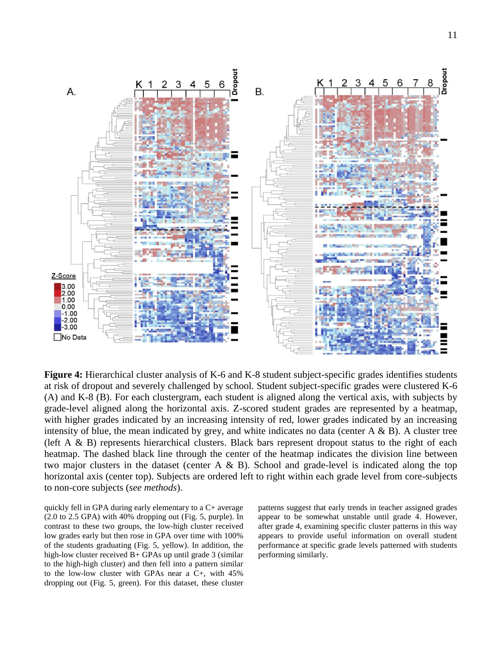

**Figure 4:** Hierarchical cluster analysis of K-6 and K-8 student subject-specific grades identifies students at risk of dropout and severely challenged by school. Student subject-specific grades were clustered K-6 (A) and K-8 (B). For each clustergram, each student is aligned along the vertical axis, with subjects by grade-level aligned along the horizontal axis. Z-scored student grades are represented by a heatmap, with higher grades indicated by an increasing intensity of red, lower grades indicated by an increasing intensity of blue, the mean indicated by grey, and white indicates no data (center  $A \& B$ ). A cluster tree (left A & B) represents hierarchical clusters. Black bars represent dropout status to the right of each heatmap. The dashed black line through the center of the heatmap indicates the division line between two major clusters in the dataset (center  $A \& B$ ). School and grade-level is indicated along the top horizontal axis (center top). Subjects are ordered left to right within each grade level from core-subjects to non-core subjects (*see methods*).

quickly fell in GPA during early elementary to a C+ average (2.0 to 2.5 GPA) with 40% dropping out (Fig. 5, purple). In contrast to these two groups, the low-high cluster received low grades early but then rose in GPA over time with 100% of the students graduating (Fig. 5, yellow). In addition, the high-low cluster received B+ GPAs up until grade 3 (similar to the high-high cluster) and then fell into a pattern similar to the low-low cluster with GPAs near a C+, with 45% dropping out (Fig. 5, green). For this dataset, these cluster

patterns suggest that early trends in teacher assigned grades appear to be somewhat unstable until grade 4. However, after grade 4, examining specific cluster patterns in this way appears to provide useful information on overall student performance at specific grade levels patterned with students performing similarly.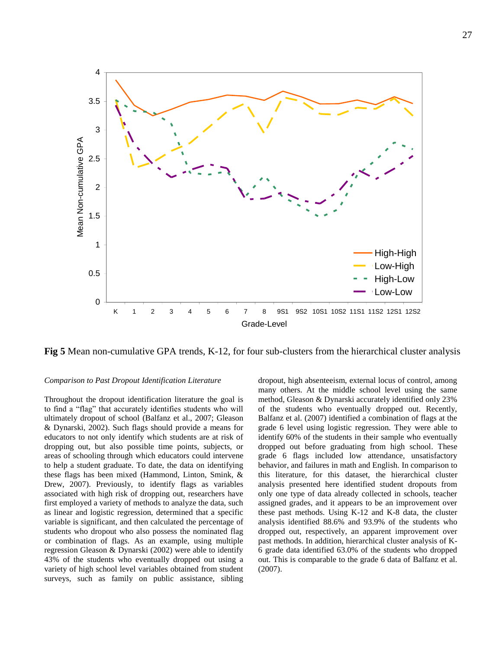

**Fig 5** Mean non-cumulative GPA trends, K-12, for four sub-clusters from the hierarchical cluster analysis

#### *Comparison to Past Dropout Identification Literature*

Throughout the dropout identification literature the goal is to find a "flag" that accurately identifies students who will ultimately dropout of school (Balfanz et al., 2007; Gleason & Dynarski, 2002). Such flags should provide a means for educators to not only identify which students are at risk of dropping out, but also possible time points, subjects, or areas of schooling through which educators could intervene to help a student graduate. To date, the data on identifying these flags has been mixed (Hammond, Linton, Smink, & Drew, 2007). Previously, to identify flags as variables associated with high risk of dropping out, researchers have first employed a variety of methods to analyze the data, such as linear and logistic regression, determined that a specific variable is significant, and then calculated the percentage of students who dropout who also possess the nominated flag or combination of flags. As an example, using multiple regression Gleason & Dynarski (2002) were able to identify 43% of the students who eventually dropped out using a variety of high school level variables obtained from student surveys, such as family on public assistance, sibling dropout, high absenteeism, external locus of control, among many others. At the middle school level using the same method, Gleason & Dynarski accurately identified only 23% of the students who eventually dropped out. Recently, Balfanz et al. (2007) identified a combination of flags at the grade 6 level using logistic regression. They were able to identify 60% of the students in their sample who eventually dropped out before graduating from high school. These grade 6 flags included low attendance, unsatisfactory behavior, and failures in math and English. In comparison to this literature, for this dataset, the hierarchical cluster analysis presented here identified student dropouts from only one type of data already collected in schools, teacher assigned grades, and it appears to be an improvement over these past methods. Using K-12 and K-8 data, the cluster analysis identified 88.6% and 93.9% of the students who dropped out, respectively, an apparent improvement over past methods. In addition, hierarchical cluster analysis of K-6 grade data identified 63.0% of the students who dropped out. This is comparable to the grade 6 data of Balfanz et al. (2007).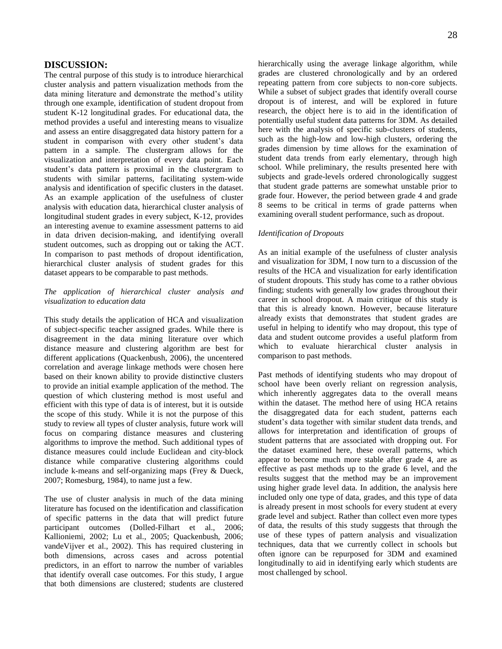## **DISCUSSION:**

The central purpose of this study is to introduce hierarchical cluster analysis and pattern visualization methods from the data mining literature and demonstrate the method's utility through one example, identification of student dropout from student K-12 longitudinal grades. For educational data, the method provides a useful and interesting means to visualize and assess an entire disaggregated data history pattern for a student in comparison with every other student's data pattern in a sample. The clustergram allows for the visualization and interpretation of every data point. Each student's data pattern is proximal in the clustergram to students with similar patterns, facilitating system-wide analysis and identification of specific clusters in the dataset. As an example application of the usefulness of cluster analysis with education data, hierarchical cluster analysis of longitudinal student grades in every subject, K-12, provides an interesting avenue to examine assessment patterns to aid in data driven decision-making, and identifying overall student outcomes, such as dropping out or taking the ACT. In comparison to past methods of dropout identification, hierarchical cluster analysis of student grades for this dataset appears to be comparable to past methods.

#### *The application of hierarchical cluster analysis and visualization to education data*

This study details the application of HCA and visualization of subject-specific teacher assigned grades. While there is disagreement in the data mining literature over which distance measure and clustering algorithm are best for different applications (Quackenbush, 2006), the uncentered correlation and average linkage methods were chosen here based on their known ability to provide distinctive clusters to provide an initial example application of the method. The question of which clustering method is most useful and efficient with this type of data is of interest, but it is outside the scope of this study. While it is not the purpose of this study to review all types of cluster analysis, future work will focus on comparing distance measures and clustering algorithms to improve the method. Such additional types of distance measures could include Euclidean and city-block distance while comparative clustering algorithms could include k-means and self-organizing maps (Frey & Dueck, 2007; Romesburg, 1984), to name just a few.

The use of cluster analysis in much of the data mining literature has focused on the identification and classification of specific patterns in the data that will predict future participant outcomes (Dolled-Filhart et al., 2006; Kallioniemi, 2002; Lu et al., 2005; Quackenbush, 2006; vandeVijver et al., 2002). This has required clustering in both dimensions, across cases and across potential predictors, in an effort to narrow the number of variables that identify overall case outcomes. For this study, I argue that both dimensions are clustered; students are clustered hierarchically using the average linkage algorithm, while grades are clustered chronologically and by an ordered repeating pattern from core subjects to non-core subjects. While a subset of subject grades that identify overall course dropout is of interest, and will be explored in future research, the object here is to aid in the identification of potentially useful student data patterns for 3DM. As detailed here with the analysis of specific sub-clusters of students, such as the high-low and low-high clusters, ordering the grades dimension by time allows for the examination of student data trends from early elementary, through high school. While preliminary, the results presented here with subjects and grade-levels ordered chronologically suggest that student grade patterns are somewhat unstable prior to grade four. However, the period between grade 4 and grade 8 seems to be critical in terms of grade patterns when examining overall student performance, such as dropout.

#### *Identification of Dropouts*

As an initial example of the usefulness of cluster analysis and visualization for 3DM, I now turn to a discussion of the results of the HCA and visualization for early identification of student dropouts. This study has come to a rather obvious finding; students with generally low grades throughout their career in school dropout. A main critique of this study is that this is already known. However, because literature already exists that demonstrates that student grades are useful in helping to identify who may dropout, this type of data and student outcome provides a useful platform from which to evaluate hierarchical cluster analysis in comparison to past methods.

Past methods of identifying students who may dropout of school have been overly reliant on regression analysis, which inherently aggregates data to the overall means within the dataset. The method here of using HCA retains the disaggregated data for each student, patterns each student's data together with similar student data trends, and allows for interpretation and identification of groups of student patterns that are associated with dropping out. For the dataset examined here, these overall patterns, which appear to become much more stable after grade 4, are as effective as past methods up to the grade 6 level, and the results suggest that the method may be an improvement using higher grade level data. In addition, the analysis here included only one type of data, grades, and this type of data is already present in most schools for every student at every grade level and subject. Rather than collect even more types of data, the results of this study suggests that through the use of these types of pattern analysis and visualization techniques, data that we currently collect in schools but often ignore can be repurposed for 3DM and examined longitudinally to aid in identifying early which students are most challenged by school.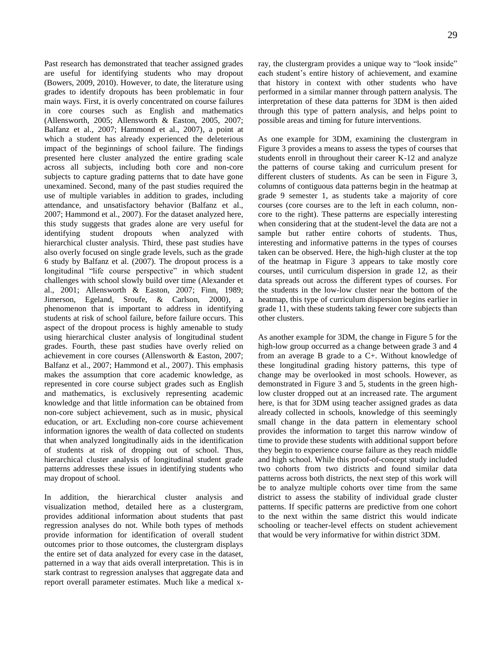29

Past research has demonstrated that teacher assigned grades are useful for identifying students who may dropout (Bowers, 2009, 2010). However, to date, the literature using grades to identify dropouts has been problematic in four main ways. First, it is overly concentrated on course failures in core courses such as English and mathematics (Allensworth, 2005; Allensworth & Easton, 2005, 2007; Balfanz et al., 2007; Hammond et al., 2007), a point at which a student has already experienced the deleterious impact of the beginnings of school failure. The findings presented here cluster analyzed the entire grading scale across all subjects, including both core and non-core subjects to capture grading patterns that to date have gone unexamined. Second, many of the past studies required the use of multiple variables in addition to grades, including attendance, and unsatisfactory behavior (Balfanz et al., 2007; Hammond et al., 2007). For the dataset analyzed here, this study suggests that grades alone are very useful for identifying student dropouts when analyzed with hierarchical cluster analysis. Third, these past studies have also overly focused on single grade levels, such as the grade 6 study by Balfanz et al. (2007). The dropout process is a longitudinal "life course perspective" in which student challenges with school slowly build over time (Alexander et al., 2001; Allensworth & Easton, 2007; Finn, 1989; Jimerson, Egeland, Sroufe, & Carlson, 2000), a phenomenon that is important to address in identifying students at risk of school failure, before failure occurs. This aspect of the dropout process is highly amenable to study using hierarchical cluster analysis of longitudinal student grades. Fourth, these past studies have overly relied on achievement in core courses (Allensworth & Easton, 2007; Balfanz et al., 2007; Hammond et al., 2007). This emphasis makes the assumption that core academic knowledge, as represented in core course subject grades such as English and mathematics, is exclusively representing academic knowledge and that little information can be obtained from non-core subject achievement, such as in music, physical education, or art. Excluding non-core course achievement information ignores the wealth of data collected on students that when analyzed longitudinally aids in the identification of students at risk of dropping out of school. Thus, hierarchical cluster analysis of longitudinal student grade patterns addresses these issues in identifying students who may dropout of school.

In addition, the hierarchical cluster analysis and visualization method, detailed here as a clustergram, provides additional information about students that past regression analyses do not. While both types of methods provide information for identification of overall student outcomes prior to those outcomes, the clustergram displays the entire set of data analyzed for every case in the dataset, patterned in a way that aids overall interpretation. This is in stark contrast to regression analyses that aggregate data and report overall parameter estimates. Much like a medical xray, the clustergram provides a unique way to "look inside" each student's entire history of achievement, and examine that history in context with other students who have performed in a similar manner through pattern analysis. The interpretation of these data patterns for 3DM is then aided through this type of pattern analysis, and helps point to possible areas and timing for future interventions.

As one example for 3DM, examining the clustergram in Figure 3 provides a means to assess the types of courses that students enroll in throughout their career K-12 and analyze the patterns of course taking and curriculum present for different clusters of students. As can be seen in Figure 3, columns of contiguous data patterns begin in the heatmap at grade 9 semester 1, as students take a majority of core courses (core courses are to the left in each column, noncore to the right). These patterns are especially interesting when considering that at the student-level the data are not a sample but rather entire cohorts of students. Thus, interesting and informative patterns in the types of courses taken can be observed. Here, the high-high cluster at the top of the heatmap in Figure 3 appears to take mostly core courses, until curriculum dispersion in grade 12, as their data spreads out across the different types of courses. For the students in the low-low cluster near the bottom of the heatmap, this type of curriculum dispersion begins earlier in grade 11, with these students taking fewer core subjects than other clusters.

As another example for 3DM, the change in Figure 5 for the high-low group occurred as a change between grade 3 and 4 from an average B grade to a C+. Without knowledge of these longitudinal grading history patterns, this type of change may be overlooked in most schools. However, as demonstrated in Figure 3 and 5, students in the green highlow cluster dropped out at an increased rate. The argument here, is that for 3DM using teacher assigned grades as data already collected in schools, knowledge of this seemingly small change in the data pattern in elementary school provides the information to target this narrow window of time to provide these students with additional support before they begin to experience course failure as they reach middle and high school. While this proof-of-concept study included two cohorts from two districts and found similar data patterns across both districts, the next step of this work will be to analyze multiple cohorts over time from the same district to assess the stability of individual grade cluster patterns. If specific patterns are predictive from one cohort to the next within the same district this would indicate schooling or teacher-level effects on student achievement that would be very informative for within district 3DM.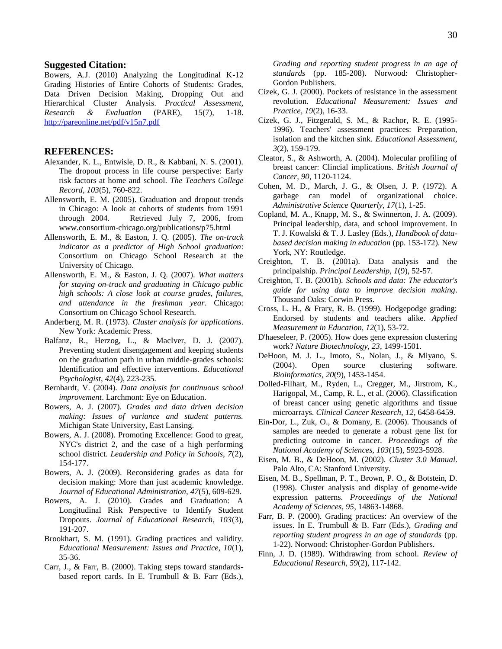#### **Suggested Citation:**

Bowers, A.J. (2010) Analyzing the Longitudinal K-12 Grading Histories of Entire Cohorts of Students: Grades, Data Driven Decision Making, Dropping Out and Hierarchical Cluster Analysis. *Practical Assessment, Research & Evaluation* (PARE), 15(7), 1-18. <http://pareonline.net/pdf/v15n7.pdf>

## **REFERENCES:**

- Alexander, K. L., Entwisle, D. R., & Kabbani, N. S. (2001). The dropout process in life course perspective: Early risk factors at home and school. *The Teachers College Record, 103*(5), 760-822.
- Allensworth, E. M. (2005). Graduation and dropout trends in Chicago: A look at cohorts of students from 1991 through 2004. Retrieved July 7, 2006, from www.consortium-chicago.org/publications/p75.html
- Allensworth, E. M., & Easton, J. Q. (2005). *The on-track indicator as a predictor of High School graduation*: Consortium on Chicago School Research at the University of Chicago.
- Allensworth, E. M., & Easton, J. Q. (2007). *What matters for staying on-track and graduating in Chicago public high schools: A close look at course grades, failures, and attendance in the freshman year*. Chicago: Consortium on Chicago School Research.
- Anderberg, M. R. (1973). *Cluster analysis for applications*. New York: Academic Press.
- Balfanz, R., Herzog, L., & MacIver, D. J. (2007). Preventing student disengagement and keeping students on the graduation path in urban middle-grades schools: Identification and effective interventions. *Educational Psychologist, 42*(4), 223-235.
- Bernhardt, V. (2004). *Data analysis for continuous school improvement*. Larchmont: Eye on Education.
- Bowers, A. J. (2007). *Grades and data driven decision making: Issues of variance and student patterns.* Michigan State University, East Lansing.
- Bowers, A. J. (2008). Promoting Excellence: Good to great, NYC's district 2, and the case of a high performing school district. *Leadership and Policy in Schools, 7*(2), 154-177.
- Bowers, A. J. (2009). Reconsidering grades as data for decision making: More than just academic knowledge. *Journal of Educational Administration, 47*(5), 609-629.
- Bowers, A. J. (2010). Grades and Graduation: A Longitudinal Risk Perspective to Identify Student Dropouts. *Journal of Educational Research, 103*(3), 191-207.
- Brookhart, S. M. (1991). Grading practices and validity. *Educational Measurement: Issues and Practice, 10*(1), 35-36.
- Carr, J., & Farr, B. (2000). Taking steps toward standardsbased report cards. In E. Trumbull & B. Farr (Eds.),

*Grading and reporting student progress in an age of standards* (pp. 185-208). Norwood: Christopher-Gordon Publishers.

- Cizek, G. J. (2000). Pockets of resistance in the assessment revolution. *Educational Measurement: Issues and Practice, 19*(2), 16-33.
- Cizek, G. J., Fitzgerald, S. M., & Rachor, R. E. (1995- 1996). Teachers' assessment practices: Preparation, isolation and the kitchen sink. *Educational Assessment, 3*(2), 159-179.
- Cleator, S., & Ashworth, A. (2004). Molecular profiling of breast cancer: Clincial implications. *British Journal of Cancer, 90*, 1120-1124.
- Cohen, M. D., March, J. G., & Olsen, J. P. (1972). A garbage can model of organizational choice. *Administrative Science Quarterly, 17*(1), 1-25.
- Copland, M. A., Knapp, M. S., & Swinnerton, J. A. (2009). Principal leadership, data, and school improvement. In T. J. Kowalski & T. J. Lasley (Eds.), *Handbook of databased decision making in education* (pp. 153-172). New York, NY: Routledge.
- Creighton, T. B. (2001a). Data analysis and the principalship. *Principal Leadership, 1*(9), 52-57.
- Creighton, T. B. (2001b). *Schools and data: The educator's guide for using data to improve decision making*. Thousand Oaks: Corwin Press.
- Cross, L. H., & Frary, R. B. (1999). Hodgepodge grading: Endorsed by students and teachers alike. *Applied Measurement in Education, 12*(1), 53-72.
- D'haeseleer, P. (2005). How does gene expression clustering work? *Nature Biotechnology, 23*, 1499-1501.
- DeHoon, M. J. L., Imoto, S., Nolan, J., & Miyano, S. (2004). Open source clustering software. *Bioinformatics, 20*(9), 1453-1454.
- Dolled-Filhart, M., Ryden, L., Cregger, M., Jirstrom, K., Harigopal, M., Camp, R. L., et al. (2006). Classification of breast cancer using genetic algorithms and tissue microarrays. *Clinical Cancer Research, 12*, 6458-6459.
- Ein-Dor, L., Zuk, O., & Domany, E. (2006). Thousands of samples are needed to generate a robust gene list for predicting outcome in cancer. *Proceedings of the National Academy of Sciences, 103*(15), 5923-5928.
- Eisen, M. B., & DeHoon, M. (2002). *Cluster 3.0 Manual*. Palo Alto, CA: Stanford University.
- Eisen, M. B., Spellman, P. T., Brown, P. O., & Botstein, D. (1998). Cluster analysis and display of genome-wide expression patterns. *Proceedings of the National Academy of Sciences, 95*, 14863-14868.
- Farr, B. P. (2000). Grading practices: An overview of the issues. In E. Trumbull & B. Farr (Eds.), *Grading and reporting student progress in an age of standards* (pp. 1-22). Norwood: Christopher-Gordon Publishers.
- Finn, J. D. (1989). Withdrawing from school. *Review of Educational Research, 59*(2), 117-142.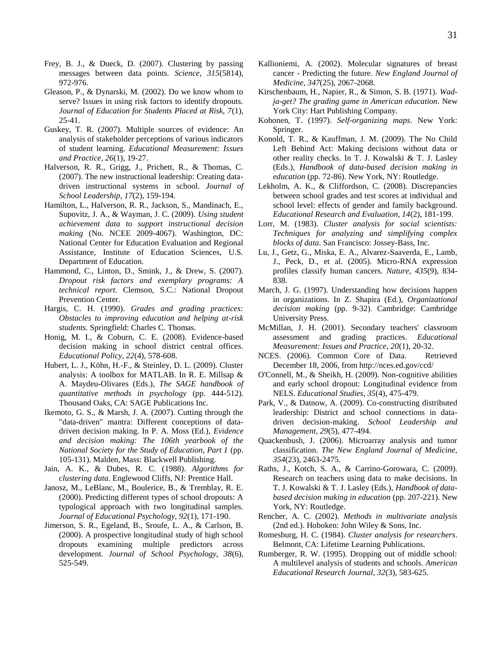- Frey, B. J., & Dueck, D. (2007). Clustering by passing messages between data points. *Science, 315*(5814), 972-976.
- Gleason, P., & Dynarski, M. (2002). Do we know whom to serve? Issues in using risk factors to identify dropouts. *Journal of Education for Students Placed at Risk, 7*(1), 25-41.
- Guskey, T. R. (2007). Multiple sources of evidence: An analysis of stakeholder perceptions of various indicators of student learning. *Educational Measurement: Issues and Practice, 26*(1), 19-27.
- Halverson, R. R., Grigg, J., Prichett, R., & Thomas, C. (2007). The new instructional leadership: Creating datadriven instructional systems in school. *Journal of School Leadership, 17*(2), 159-194.
- Hamilton, L., Halverson, R. R., Jackson, S., Mandinach, E., Supovitz, J. A., & Wayman, J. C. (2009). *Using student achievement data to support instructional decision making* (No. NCEE 2009-4067). Washington, DC: National Center for Education Evaluation and Regional Assistance, Institute of Education Sciences, U.S. Department of Education.
- Hammond, C., Linton, D., Smink, J., & Drew, S. (2007). *Dropout risk factors and exemplary programs: A technical report*. Clemson, S.C.: National Dropout Prevention Center.
- Hargis, C. H. (1990). *Grades and grading practices: Obstacles to improving education and helping at-risk students*. Springfield: Charles C. Thomas.
- Honig, M. I., & Coburn, C. E. (2008). Evidence-based decision making in school district central offices. *Educational Policy, 22*(4), 578-608.
- Hubert, L. J., Köhn, H.-F., & Steinley, D. L. (2009). Cluster analysis: A toolbox for MATLAB. In R. E. Millsap & A. Maydeu-Olivares (Eds.), *The SAGE handbook of quantitative methods in psychology* (pp. 444-512). Thousand Oaks, CA: SAGE Publications Inc.
- Ikemoto, G. S., & Marsh, J. A. (2007). Cutting through the "data-driven" mantra: Different conceptions of datadriven decision making. In P. A. Moss (Ed.), *Evidence and decision making: The 106th yearbook of the National Society for the Study of Education, Part 1* (pp. 105-131). Malden, Mass: Blackwell Publishing.
- Jain, A. K., & Dubes, R. C. (1988). *Algorithms for clustering data*. Englewood Cliffs, NJ: Prentice Hall.
- Janosz, M., LeBlanc, M., Boulerice, B., & Tremblay, R. E. (2000). Predicting different types of school dropouts: A typological approach with two longitudinal samples. *Journal of Educational Psychology, 92*(1), 171-190.
- Jimerson, S. R., Egeland, B., Sroufe, L. A., & Carlson, B. (2000). A prospective longitudinal study of high school dropouts examining multiple predictors across development. *Journal of School Psychology, 38*(6), 525-549.
- Kallioniemi, A. (2002). Molecular signatures of breast cancer - Predicting the future. *New England Journal of Medicine, 347*(25), 2067-2068.
- Kirschenbaum, H., Napier, R., & Simon, S. B. (1971). *Wadja-get? The grading game in American education*. New York City: Hart Publishing Company.
- Kohonen, T. (1997). *Self-organizing maps*. New York: Springer.
- Konold, T. R., & Kauffman, J. M. (2009). The No Child Left Behind Act: Making decisions without data or other reality checks. In T. J. Kowalski & T. J. Lasley (Eds.), *Handbook of data-based decision making in education* (pp. 72-86). New York, NY: Routledge.
- Lekholm, A. K., & Cliffordson, C. (2008). Discrepancies between school grades and test scores at individual and school level: effects of gender and family background. *Educational Research and Evaluation, 14*(2), 181-199.
- Lorr, M. (1983). *Cluster analysis for social scientists: Techniques for analyzing and simplifying complex blocks of data*. San Francisco: Jossey-Bass, Inc.
- Lu, J., Getz, G., Miska, E. A., Alvarez-Saaverda, E., Lamb, J., Peck, D., et al. (2005). Micro-RNA expression profiles classify human cancers. *Nature, 435*(9), 834- 838.
- March, J. G. (1997). Understanding how decisions happen in organizations. In Z. Shapira (Ed.), *Organizational decision making* (pp. 9-32). Cambridge: Cambridge University Press.
- McMillan, J. H. (2001). Secondary teachers' classroom assessment and grading practices. *Educational Measurement: Issues and Practice, 20*(1), 20-32.
- NCES. (2006). Common Core of Data. Retrieved December 18, 2006, from http://nces.ed.gov/ccd/
- O'Connell, M., & Sheikh, H. (2009). Non-cognitive abilities and early school dropout: Longitudinal evidence from NELS. *Educational Studies, 35*(4), 475-479.
- Park, V., & Datnow, A. (2009). Co-constructing distributed leadership: District and school connections in datadriven decision-making. *School Leadership and Management, 29*(5), 477-494.
- Quackenbush, J. (2006). Microarray analysis and tumor classification. *The New England Journal of Medicine, 354*(23), 2463-2475.
- Raths, J., Kotch, S. A., & Carrino-Gorowara, C. (2009). Research on teachers using data to make decisions. In T. J. Kowalski & T. J. Lasley (Eds.), *Handbook of databased decision making in education* (pp. 207-221). New York, NY: Routledge.
- Rencher, A. C. (2002). *Methods in multivariate analysis* (2nd ed.). Hoboken: John Wiley & Sons, Inc.
- Romesburg, H. C. (1984). *Cluster analysis for researchers*. Belmont, CA: Lifetime Learning Publications.
- Rumberger, R. W. (1995). Dropping out of middle school: A multilevel analysis of students and schools. *American Educational Research Journal, 32*(3), 583-625.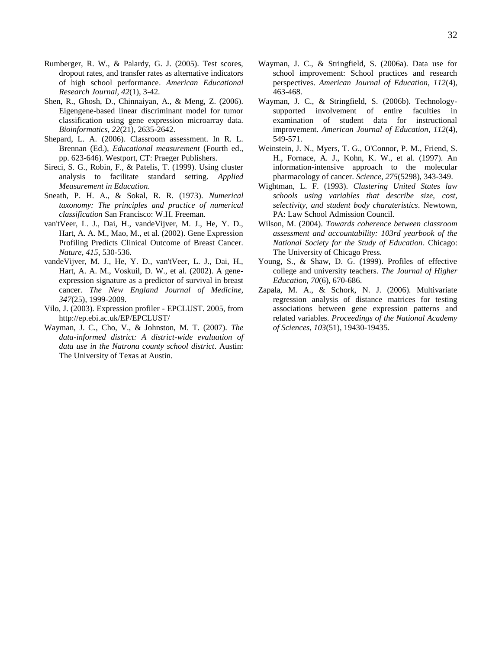- Rumberger, R. W., & Palardy, G. J. (2005). Test scores, dropout rates, and transfer rates as alternative indicators of high school performance. *American Educational Research Journal, 42*(1), 3-42.
- Shen, R., Ghosh, D., Chinnaiyan, A., & Meng, Z. (2006). Eigengene-based linear discriminant model for tumor classification using gene expression microarray data. *Bioinformatics, 22*(21), 2635-2642.
- Shepard, L. A. (2006). Classroom assessment. In R. L. Brennan (Ed.), *Educational measurement* (Fourth ed., pp. 623-646). Westport, CT: Praeger Publishers.
- Sireci, S. G., Robin, F., & Patelis, T. (1999). Using cluster analysis to facilitate standard setting. *Applied Measurement in Education*.
- Sneath, P. H. A., & Sokal, R. R. (1973). *Numerical taxonomy: The principles and practice of numerical classification* San Francisco: W.H. Freeman.
- van'tVeer, L. J., Dai, H., vandeVijver, M. J., He, Y. D., Hart, A. A. M., Mao, M., et al. (2002). Gene Expression Profiling Predicts Clinical Outcome of Breast Cancer. *Nature, 415*, 530-536.
- vandeVijver, M. J., He, Y. D., van'tVeer, L. J., Dai, H., Hart, A. A. M., Voskuil, D. W., et al. (2002). A geneexpression signature as a predictor of survival in breast cancer. *The New England Journal of Medicine, 347*(25), 1999-2009.
- Vilo, J. (2003). Expression profiler EPCLUST. 2005, from http://ep.ebi.ac.uk/EP/EPCLUST/
- Wayman, J. C., Cho, V., & Johnston, M. T. (2007). *The data-informed district: A district-wide evaluation of data use in the Natrona county school district*. Austin: The University of Texas at Austin.
- Wayman, J. C., & Stringfield, S. (2006a). Data use for school improvement: School practices and research perspectives. *American Journal of Education, 112*(4), 463-468.
- Wayman, J. C., & Stringfield, S. (2006b). Technologysupported involvement of entire faculties in examination of student data for instructional improvement. *American Journal of Education, 112*(4), 549-571.
- Weinstein, J. N., Myers, T. G., O'Connor, P. M., Friend, S. H., Fornace, A. J., Kohn, K. W., et al. (1997). An information-intensive approach to the molecular pharmacology of cancer. *Science, 275*(5298), 343-349.
- Wightman, L. F. (1993). *Clustering United States law schools using variables that describe size, cost, selectivity, and student body charateristics*. Newtown, PA: Law School Admission Council.
- Wilson, M. (2004). *Towards coherence between classroom assessment and accountability: 103rd yearbook of the National Society for the Study of Education*. Chicago: The University of Chicago Press.
- Young, S., & Shaw, D. G. (1999). Profiles of effective college and university teachers. *The Journal of Higher Education, 70*(6), 670-686.
- Zapala, M. A., & Schork, N. J. (2006). Multivariate regression analysis of distance matrices for testing associations between gene expression patterns and related variables. *Proceedings of the National Academy of Sciences, 103*(51), 19430-19435.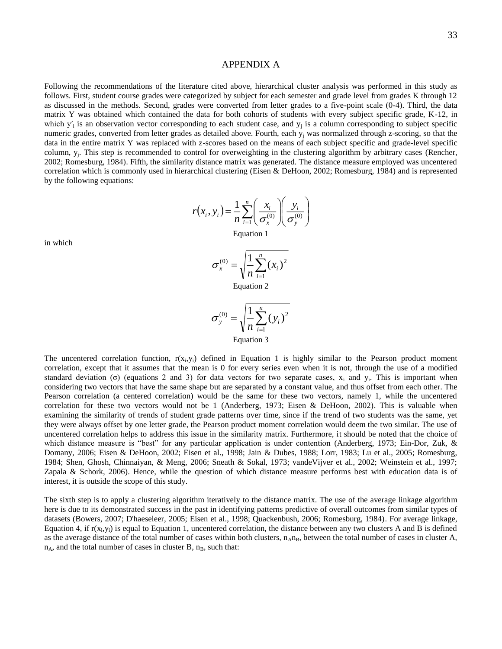## APPENDIX A

Following the recommendations of the literature cited above, hierarchical cluster analysis was performed in this study as follows. First, student course grades were categorized by subject for each semester and grade level from grades K through 12 as discussed in the methods. Second, grades were converted from letter grades to a five-point scale (0-4). Third, the data matrix Y was obtained which contained the data for both cohorts of students with every subject specific grade, K-12, in which  $y'_i$  is an observation vector corresponding to each student case, and  $y_j$  is a column corresponding to subject specific numeric grades, converted from letter grades as detailed above. Fourth, each  $y_i$  was normalized through z-scoring, so that the data in the entire matrix Y was replaced with z-scores based on the means of each subject specific and grade-level specific column,  $y_i$ . This step is recommended to control for overweighting in the clustering algorithm by arbitrary cases (Rencher, 2002; Romesburg, 1984). Fifth, the similarity distance matrix was generated. The distance measure employed was uncentered correlation which is commonly used in hierarchical clustering (Eisen & DeHoon, 2002; Romesburg, 1984) and is represented by the following equations:

$$
r(x_i, y_i) = \frac{1}{n} \sum_{i=1}^n \left( \frac{x_i}{\sigma_x^{(0)}} \right) \left( \frac{y_i}{\sigma_y^{(0)}} \right)
$$

Equation 1

$$
\sigma_x^{(0)} = \sqrt{\frac{1}{n} \sum_{i=1}^n (x_i)^2}
$$

Equation 2

$$
\sigma_{y}^{(0)} = \sqrt{\frac{1}{n} \sum_{i=1}^{n} (y_i)^2}
$$
  
Equation 3

The uncentered correlation function,  $r(x_i, y_i)$  defined in Equation 1 is highly similar to the Pearson product moment correlation, except that it assumes that the mean is 0 for every series even when it is not, through the use of a modified standard deviation ( $\sigma$ ) (equations 2 and 3) for data vectors for two separate cases,  $x_i$  and  $y_i$ . This is important when considering two vectors that have the same shape but are separated by a constant value, and thus offset from each other. The Pearson correlation (a centered correlation) would be the same for these two vectors, namely 1, while the uncentered correlation for these two vectors would not be 1 (Anderberg, 1973; Eisen & DeHoon, 2002). This is valuable when examining the similarity of trends of student grade patterns over time, since if the trend of two students was the same, yet they were always offset by one letter grade, the Pearson product moment correlation would deem the two similar. The use of uncentered correlation helps to address this issue in the similarity matrix. Furthermore, it should be noted that the choice of which distance measure is "best" for any particular application is under contention (Anderberg, 1973; Ein-Dor, Zuk, & Domany, 2006; Eisen & DeHoon, 2002; Eisen et al., 1998; Jain & Dubes, 1988; Lorr, 1983; Lu et al., 2005; Romesburg, 1984; Shen, Ghosh, Chinnaiyan, & Meng, 2006; Sneath & Sokal, 1973; vandeVijver et al., 2002; Weinstein et al., 1997; Zapala & Schork, 2006). Hence, while the question of which distance measure performs best with education data is of interest, it is outside the scope of this study.

The sixth step is to apply a clustering algorithm iteratively to the distance matrix. The use of the average linkage algorithm here is due to its demonstrated success in the past in identifying patterns predictive of overall outcomes from similar types of datasets (Bowers, 2007; D'haeseleer, 2005; Eisen et al., 1998; Quackenbush, 2006; Romesburg, 1984). For average linkage, Equation 4, if  $r(x_i, y_i)$  is equal to Equation 1, uncentered correlation, the distance between any two clusters A and B is defined as the average distance of the total number of cases within both clusters,  $n_A n_B$ , between the total number of cases in cluster A,  $n_A$ , and the total number of cases in cluster B,  $n_B$ , such that:

in which